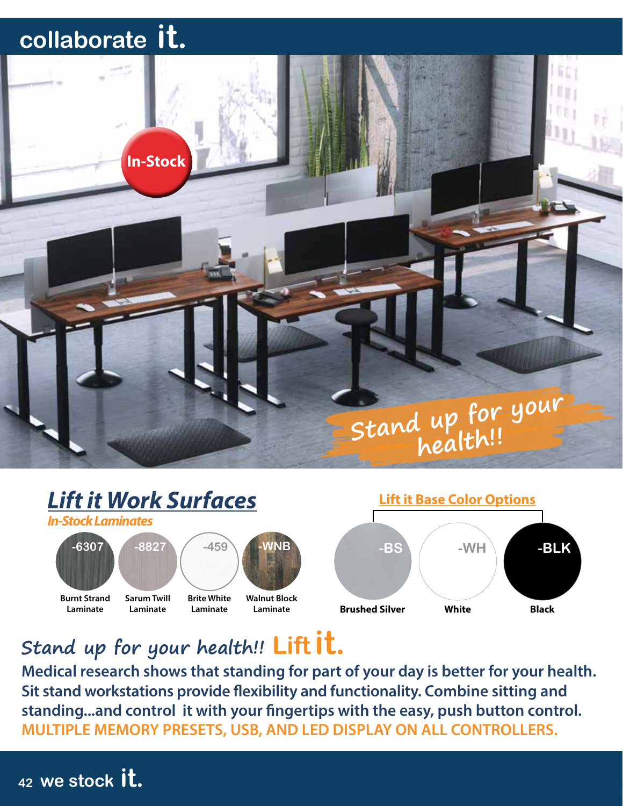

**Stand up for your health!!**



**Stand up for your health!! Lift it.**

**Medical research shows that standing for part of your day is better for your health. Sit stand workstations provide flexibility and functionality. Combine sitting and standing...and control it with your fingertips with the easy, push button control. MULTIPLE MEMORY PRESETS, USB, AND LED DISPLAY ON ALL CONTROLLERS.**

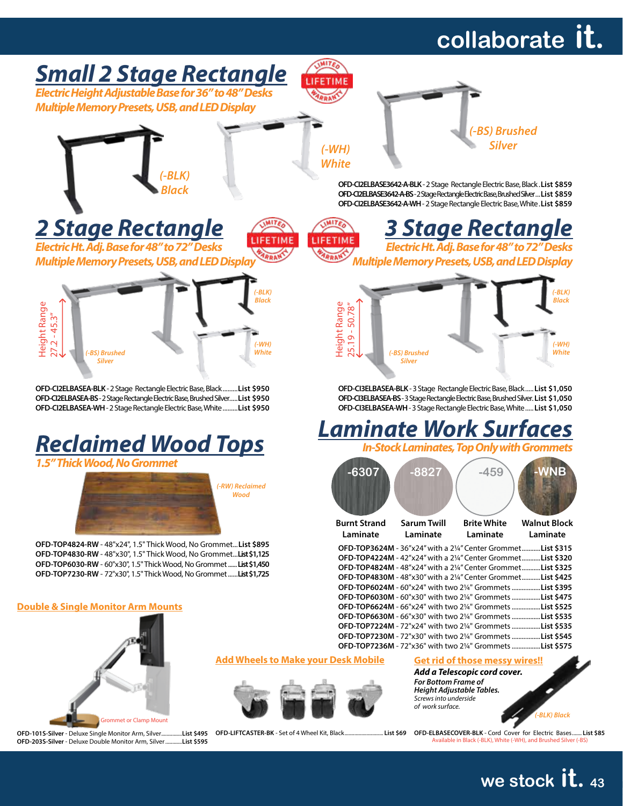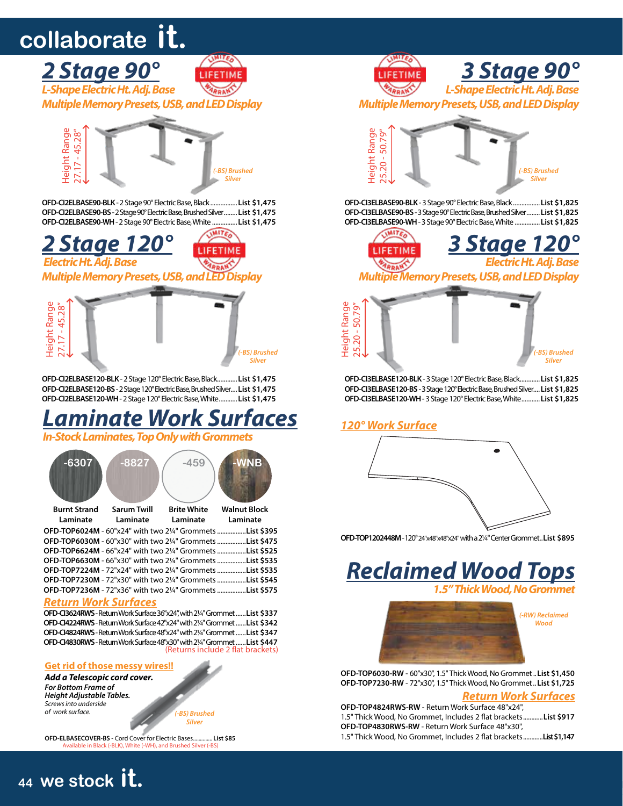

*Multiple Memory Presets, USB, and LED Display*



**OFD-CI2ELBASE120-BLK** - 2 Stage 120° Electric Base, Black............**List \$1,475 OFD-CI2ELBASE120-BS** - 2 Stage 120° Electric Base, Brushed Silver....**List \$1,475 OFD-CI2ELBASE120-WH** - 2 Stage 120° Electric Base, White...........**List \$1,475**

### *Laminate Work Surfaces*

*In-Stock Laminates, Top Only with Grommets*



#### *Return Work Surfaces*

**OFD-CI3624RWS** - Return Work Surface 36"x24", with 21/4" Grommet......**List \$337 OFD-CI4224RWS** - Return Work Surface 42"x24" with 21/4" Grommet......**List \$342 OFD-CI4824RWS** - Return Work Surface 48"x24" with 21/4" Grommet......**List \$347 OFD-CI4830RWS** - Return Work Surface 48"x30" with 21/4" Grommet......**List \$447** (Returns include 2 flat brackets)

#### **Get rid of those messy wires!!**

*Add a Telescopic cord cover. For Bottom Frame of Height Adjustable Tables. Screws into underside of work surface.*

**<sup>44</sup> we stock it. <sup>44</sup> we stock it.**

*(-BS) Brushed Silver*

**OFD-ELBASECOVER-BS** - Cord Cover for Electric Bases.............. **List \$85** Available in Black (-BLK), White (-WH), and Brushed Silver (-B)



**OFD-CI3ELBASE90-BLK** - 3 Stage 90° Electric Base, Black................**List \$1,825 OFD-CI3ELBASE90-BS** - 3 Stage 90° Electric Base, Brushed Silver........**List \$1,825 OFD-CI3ELBASE90-WH** - 3 Stage 90° Electric Base, White ...............**List \$1,825**





**OFD-CI3ELBASE120-BLK** - 3 Stage 120° Electric Base, Black............**List \$1,825 OFD-CI3ELBASE120-BS** - 3 Stage 120° Electric Base, Brushed Silver....**List \$1,825 OFD-CI3ELBASE120-WH** - 3 Stage 120° Electric Base, White...........**List \$1,825**

#### *120° Work Surface*



**OFD-TOP1202448M** - 120° 24"x48"x48"x24" with a 21/4" Center Grommet..**List \$895**

*Reclaimed Wood Tops 1.5" Thick Wood, No Grommet*



**OFD-TOP6030-RW** - 60"x30", 1.5" Thick Wood, No Grommet..**List \$1,450 OFD-TOP7230-RW** - 72"x30", 1.5" Thick Wood, No Grommet..**List \$1,725**

#### *Return Work Surfaces*

| OFD-TOP4824RWS-RW - Return Work Surface 48"x24",                          |  |
|---------------------------------------------------------------------------|--|
| 1.5" Thick Wood, No Grommet, Includes 2 flat brackets List \$917          |  |
| OFD-TOP4830RWS-RW - Return Work Surface 48"x30",                          |  |
| 1.5" Thick Wood, No Grommet, Includes 2 flat brackets <b>List \$1.147</b> |  |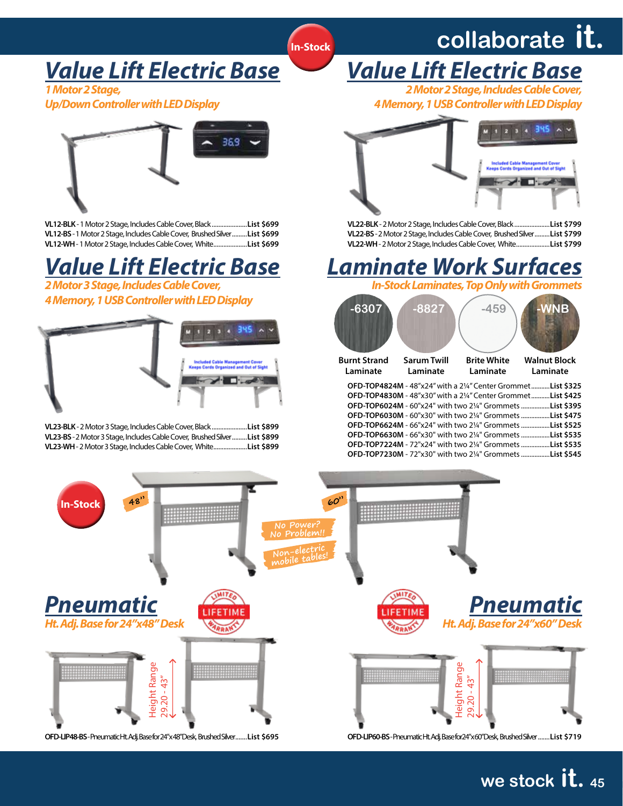### *Value Lift Electric Base*

*1 Motor 2 Stage,*

*Up/Down Controller with LED Display*



**VL12-BLK** - 1 Motor 2 Stage, Includes Cable Cover, Black.....................**List \$699 VL12-BS** - 1 Motor 2 Stage, Includes Cable Cover, Brushed Silver.........**List \$699 VL12-WH** - 1 Motor 2 Stage, Includes Cable Cover, White....................**List \$699**

### *Value Lift Electric Base*

*2 Motor 3 Stage, Includes Cable Cover, 4 Memory, 1 USB Controller with LED Display*



**VL23-BLK** - 2 Motor 3 Stage, Includes Cable Cover, Black.....................**List \$899 VL23-BS** - 2 Motor 3 Stage, Includes Cable Cover, Brushed Silver.........**List \$899 VL23-WH** - 2 Motor 3 Stage, Includes Cable Cover, White....................**List \$899**



*Value Lift Electric Base*



**VL22-BLK** - 2 Motor 2 Stage, Includes Cable Cover, Black.....................**List \$799 VL22-BS** - 2 Motor 2 Stage, Includes Cable Cover, Brushed Silver.........**List \$799 VL22-WH** - 2 Motor 2 Stage, Includes Cable Cover, White....................**List \$799**

### *Laminate Work Surfaces*

*In-Stock Laminates, Top Only with Grommets*

| $-6307$             | $-8827$                                                   | $-459$             |                                                                                                                                                                                                                                                                                                                                                                                                                                                                                                  |
|---------------------|-----------------------------------------------------------|--------------------|--------------------------------------------------------------------------------------------------------------------------------------------------------------------------------------------------------------------------------------------------------------------------------------------------------------------------------------------------------------------------------------------------------------------------------------------------------------------------------------------------|
| <b>Burnt Strand</b> | <b>Sarum Twill</b>                                        | <b>Brite White</b> | <b>Walnut Block</b>                                                                                                                                                                                                                                                                                                                                                                                                                                                                              |
| Laminate            | Laminate                                                  | Laminate           | Laminate                                                                                                                                                                                                                                                                                                                                                                                                                                                                                         |
|                     | <b>OFD-TOP4824M - 48"x24" with a 21/4" Center Grommet</b> |                    | List \$325.<br><b>OFD-TOP4830M</b> - 48"x30" with a 21/4" Center GrommetList \$425<br><b>OFD-TOP6024M</b> - 60"x24" with two 2¼" Grommets List \$395<br><b>OFD-TOP6030M</b> - 60"x30" with two 2¼" Grommets List \$475<br><b>OFD-TOP6624M</b> - 66"x24" with two 2¼" Grommets List \$525<br><b>OFD-TOP6630M</b> - 66"x30" with two 2¼" Grommets List \$535<br><b>OFD-TOP7224M - 72"x24" with two 21/4" Grommets List \$535</b><br><b>OFD-TOP7230M</b> - 72"x30" with two 2¼" Grommets List \$545 |



**In-Stock**

**we stock it. <sup>45</sup> we stock it. <sup>45</sup>**